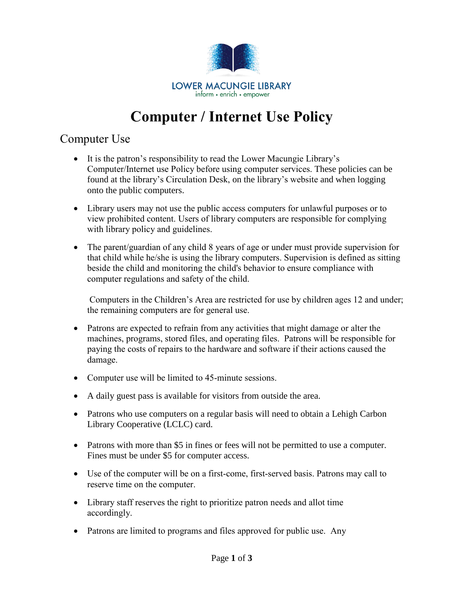

## **Computer / Internet Use Policy**

## Computer Use

- It is the patron's responsibility to read the Lower Macungie Library's Computer/Internet use Policy before using computer services. These policies can be found at the library's Circulation Desk, on the library's website and when logging onto the public computers.
- Library users may not use the public access computers for unlawful purposes or to view prohibited content. Users of library computers are responsible for complying with library policy and guidelines.
- The parent/guardian of any child 8 years of age or under must provide supervision for that child while he/she is using the library computers. Supervision is defined as sitting beside the child and monitoring the child's behavior to ensure compliance with computer regulations and safety of the child.

Computers in the Children's Area are restricted for use by children ages 12 and under; the remaining computers are for general use.

- Patrons are expected to refrain from any activities that might damage or alter the machines, programs, stored files, and operating files. Patrons will be responsible for paying the costs of repairs to the hardware and software if their actions caused the damage.
- Computer use will be limited to 45-minute sessions.
- A daily guest pass is available for visitors from outside the area.
- Patrons who use computers on a regular basis will need to obtain a Lehigh Carbon Library Cooperative (LCLC) card.
- Patrons with more than \$5 in fines or fees will not be permitted to use a computer. Fines must be under \$5 for computer access.
- Use of the computer will be on a first-come, first-served basis. Patrons may call to reserve time on the computer.
- Library staff reserves the right to prioritize patron needs and allot time accordingly.
- Patrons are limited to programs and files approved for public use. Any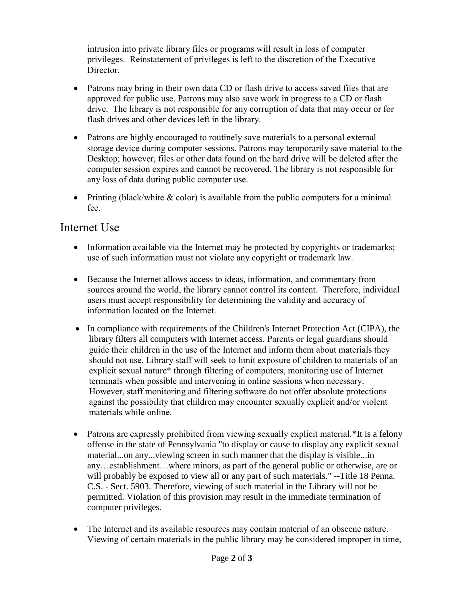intrusion into private library files or programs will result in loss of computer privileges. Reinstatement of privileges is left to the discretion of the Executive Director.

- Patrons may bring in their own data CD or flash drive to access saved files that are approved for public use. Patrons may also save work in progress to a CD or flash drive. The library is not responsible for any corruption of data that may occur or for flash drives and other devices left in the library.
- Patrons are highly encouraged to routinely save materials to a personal external storage device during computer sessions. Patrons may temporarily save material to the Desktop; however, files or other data found on the hard drive will be deleted after the computer session expires and cannot be recovered. The library is not responsible for any loss of data during public computer use.
- Printing (black/white  $\&$  color) is available from the public computers for a minimal fee.

## Internet Use

- Information available via the Internet may be protected by copyrights or trademarks; use of such information must not violate any copyright or trademark law.
- Because the Internet allows access to ideas, information, and commentary from sources around the world, the library cannot control its content. Therefore, individual users must accept responsibility for determining the validity and accuracy of information located on the Internet.
- In compliance with requirements of the Children's Internet Protection Act (CIPA), the library filters all computers with Internet access. Parents or legal guardians should guide their children in the use of the Internet and inform them about materials they should not use. Library staff will seek to limit exposure of children to materials of an explicit sexual nature\* through filtering of computers, monitoring use of Internet terminals when possible and intervening in online sessions when necessary. However, staff monitoring and filtering software do not offer absolute protections against the possibility that children may encounter sexually explicit and/or violent materials while online.
- Patrons are expressly prohibited from viewing sexually explicit material.\*It is a felony offense in the state of Pennsylvania "to display or cause to display any explicit sexual material...on any...viewing screen in such manner that the display is visible...in any…establishment…where minors, as part of the general public or otherwise, are or will probably be exposed to view all or any part of such materials." --Title 18 Penna. C.S. - Sect. 5903. Therefore, viewing of such material in the Library will not be permitted. Violation of this provision may result in the immediate termination of computer privileges.
- The Internet and its available resources may contain material of an obscene nature. Viewing of certain materials in the public library may be considered improper in time,